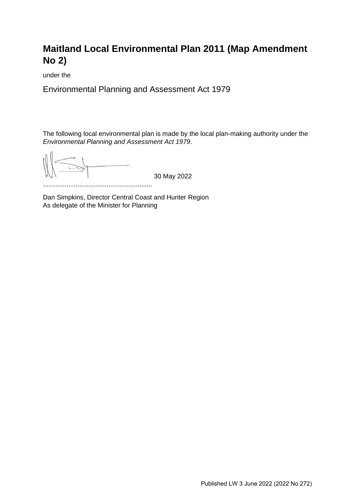# **Maitland Local Environmental Plan 2011 (Map Amendment No 2)**

under the

Environmental Planning and Assessment Act 1979

The following local environmental plan is made by the local plan-making authority under the *Environmental Planning and Assessment Act 1979*.

30 May 2022

............................................................

Dan Simpkins, Director Central Coast and Hunter Region As delegate of the Minister for Planning